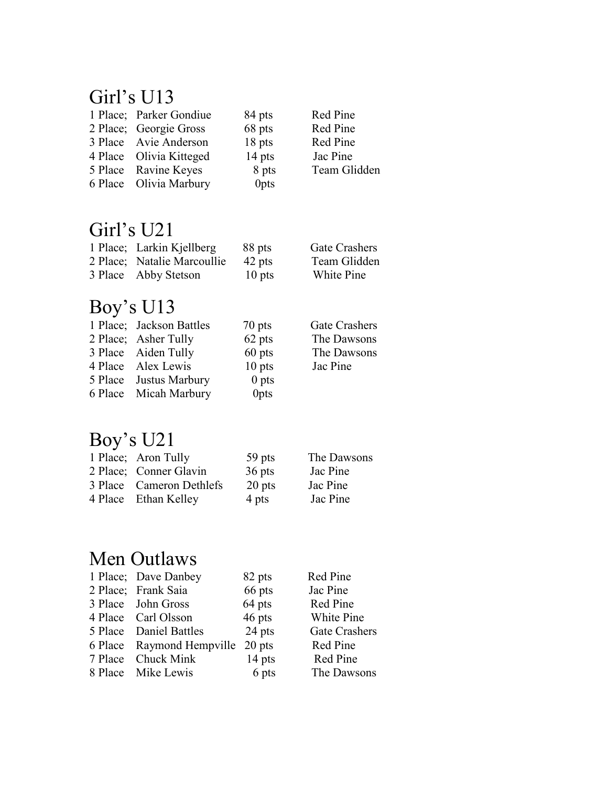#### Girl's U13

| 1 Place; Parker Gondiue | 84 pts |
|-------------------------|--------|
| 2 Place; Georgie Gross  | 68 pts |
| 3 Place Avie Anderson   | 18 pts |
| 4 Place Olivia Kitteged | 14 pts |
| 5 Place Ravine Keyes    | 8 pts  |
| 6 Place Olivia Marbury  | 0pts   |
|                         |        |

Red Pine Red Pine Red Pine Jac Pine Team Glidden

## Girl's U21

| 1 Place; Larkin Kjellberg   | 88 pts   | Gate Crashers |
|-----------------------------|----------|---------------|
| 2 Place; Natalie Marcoullie | 42 pts   | Team Glidden  |
| 3 Place Abby Stetson        | $10$ pts | White Pine    |

## Boy's U13

| 1 Place; Jackson Battles | 70 pts           | Gate Crashers |
|--------------------------|------------------|---------------|
| 2 Place; Asher Tully     | 62 pts           | The Dawsons   |
| 3 Place Aiden Tully      | $60$ pts         | The Dawsons   |
| 4 Place Alex Lewis       | $10$ pts         | Jac Pine      |
| 5 Place Justus Marbury   | $0$ pts          |               |
| 6 Place Micah Marbury    | 0 <sub>pts</sub> |               |
|                          |                  |               |

## Boy's U21

| 1 Place; Aron Tully      | 59 pts   | The Dawsons |
|--------------------------|----------|-------------|
| 2 Place; Conner Glavin   | 36 pts   | Jac Pine    |
| 3 Place Cameron Dethlefs | $20$ pts | Jac Pine    |
| 4 Place Ethan Kelley     | 4 pts    | Jac Pine    |

### Men Outlaws

| 1 Place; Dave Danbey      | 82 pts   | Red Pine             |
|---------------------------|----------|----------------------|
| 2 Place; Frank Saia       | 66 pts   | Jac Pine             |
| 3 Place John Gross        | 64 pts   | Red Pine             |
| 4 Place Carl Olsson       | 46 pts   | White Pine           |
| 5 Place Daniel Battles    | 24 pts   | <b>Gate Crashers</b> |
| 6 Place Raymond Hempville | $20$ pts | Red Pine             |
| 7 Place Chuck Mink        | $14$ pts | Red Pine             |
| 8 Place Mike Lewis        | 6 pts    | The Dawsons          |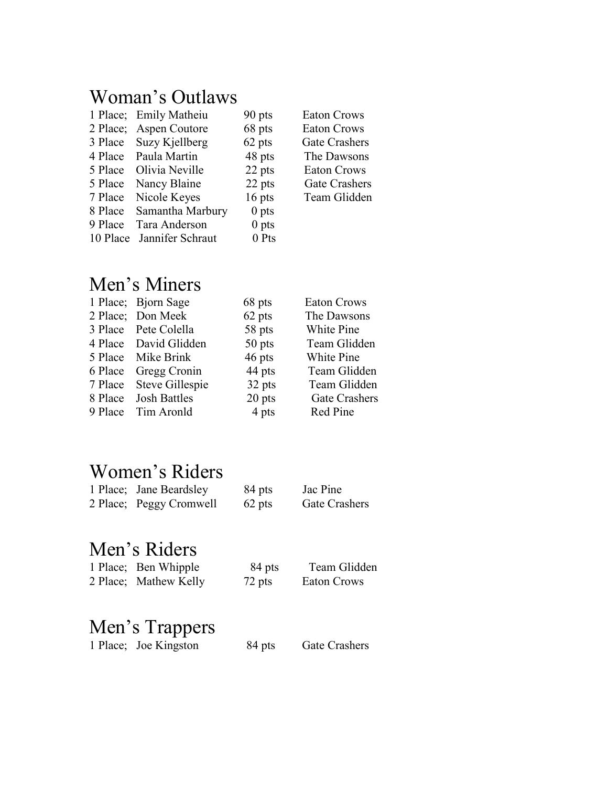#### Woman's Outlaws

|          | 1 Place; Emily Matheiu | 90 pts           |
|----------|------------------------|------------------|
| 2 Place; | <b>Aspen Coutore</b>   | 68 pts           |
| 3 Place  | Suzy Kjellberg         | 62 pts           |
| 4 Place  | Paula Martin           | 48 pts           |
| 5 Place  | Olivia Neville         | 22 pts           |
| 5 Place  | Nancy Blaine           | 22 pts           |
| 7 Place  | Nicole Keyes           | $16$ pts         |
| 8 Place  | Samantha Marbury       | $0$ pts          |
| 9 Place  | Tara Anderson          | 0 <sub>pts</sub> |
| 10 Place | Jannifer Schraut       | 0 Pts            |

Eaton Crows Eaton Crows Gate Crashers The Dawsons Eaton Crows Gate Crashers Team Glidden

# Men's Miners

| 1 Place; Bjorn Sage     | 68 pts | <b>Eaton Crows</b>   |
|-------------------------|--------|----------------------|
| 2 Place; Don Meek       | 62 pts | The Dawsons          |
| 3 Place Pete Colella    | 58 pts | White Pine           |
| 4 Place David Glidden   | 50 pts | Team Glidden         |
| 5 Place Mike Brink      | 46 pts | White Pine           |
| 6 Place Gregg Cronin    | 44 pts | Team Glidden         |
| 7 Place Steve Gillespie | 32 pts | Team Glidden         |
| 8 Place Josh Battles    | 20 pts | <b>Gate Crashers</b> |
| 9 Place Tim Aronld      | 4 pts  | Red Pine             |
|                         |        |                      |

#### Women's Riders

| 1 Place; Jane Beardsley | 84 pts | Jac Pine      |
|-------------------------|--------|---------------|
| 2 Place; Peggy Cromwell | 62 pts | Gate Crashers |

#### Men's Riders

| 1 Place; Ben Whipple  | 84 pts | Team Glidden |
|-----------------------|--------|--------------|
| 2 Place; Mathew Kelly | 72 pts | Eaton Crows  |

# Men's Trappers

|  | 1 Place; Joe Kingston | 84 pts | <b>Gate Crashers</b> |
|--|-----------------------|--------|----------------------|
|--|-----------------------|--------|----------------------|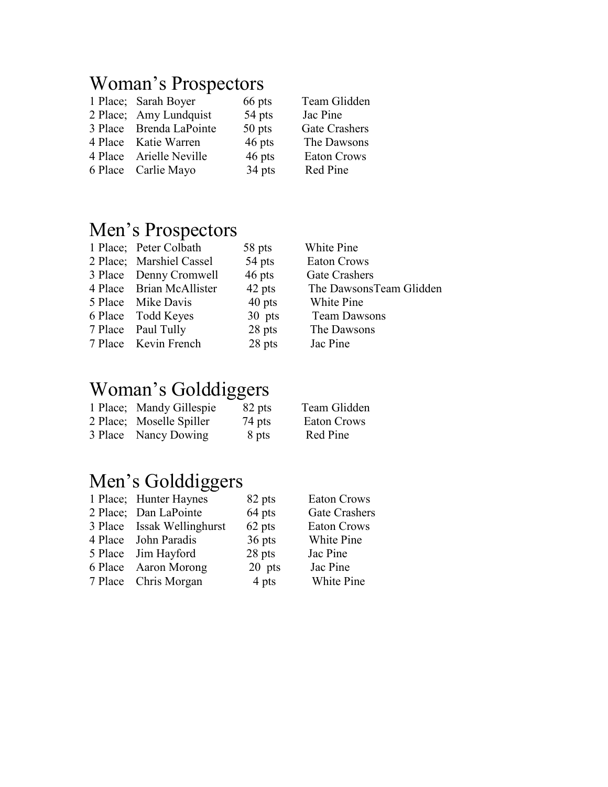#### Woman's Prospectors

| 1 Place; Sarah Boyer    | 66 pts |
|-------------------------|--------|
| 2 Place; Amy Lundquist  | 54 pts |
| 3 Place Brenda LaPointe | 50 pts |
| 4 Place Katie Warren    | 46 pts |
| 4 Place Arielle Neville | 46 pts |
| 6 Place Carlie Mayo     | 34 pts |

Team Glidden Jac Pine Gate Crashers The Dawsons Eaton Crows Red Pine

#### Men's Prospectors

| 1 Place; Peter Colbath   | 58 pts |
|--------------------------|--------|
| 2 Place; Marshiel Cassel | 54 pts |
| 3 Place Denny Cromwell   | 46 pts |
| 4 Place Brian McAllister | 42 pts |
| 5 Place Mike Davis       | 40 pts |
| 6 Place Todd Keyes       | 30 pts |
| 7 Place Paul Tully       | 28 pts |
| 7 Place Kevin French     | 28 pts |
|                          |        |

#### Woman's Golddiggers

| 1 Place; Mandy Gillespie | 82 pts |
|--------------------------|--------|
| 2 Place; Moselle Spiller | 74 pts |
| 3 Place Nancy Dowing     | 8 pts  |

White Pine Eaton Crows Gate Crashers The DawsonsTeam Glidden White Pine Team Dawsons The Dawsons Jac Pine

Team Glidden Eaton Crows Red Pine

### Men's Golddiggers

| 82 pts<br>1 Place; Hunter Haynes     | <b>Eaton Crows</b> |
|--------------------------------------|--------------------|
| 64 pts<br>2 Place; Dan LaPointe      | Gate Crasher       |
| 62 pts<br>3 Place Issak Wellinghurst | <b>Eaton Crows</b> |
| 36 pts<br>4 Place John Paradis       | White Pine         |
| 28 pts<br>5 Place Jim Hayford        | Jac Pine           |
| 20 pts<br>6 Place Aaron Morong       | Jac Pine           |
| 4 pts<br>7 Place Chris Morgan        | White Pine         |

Prashers